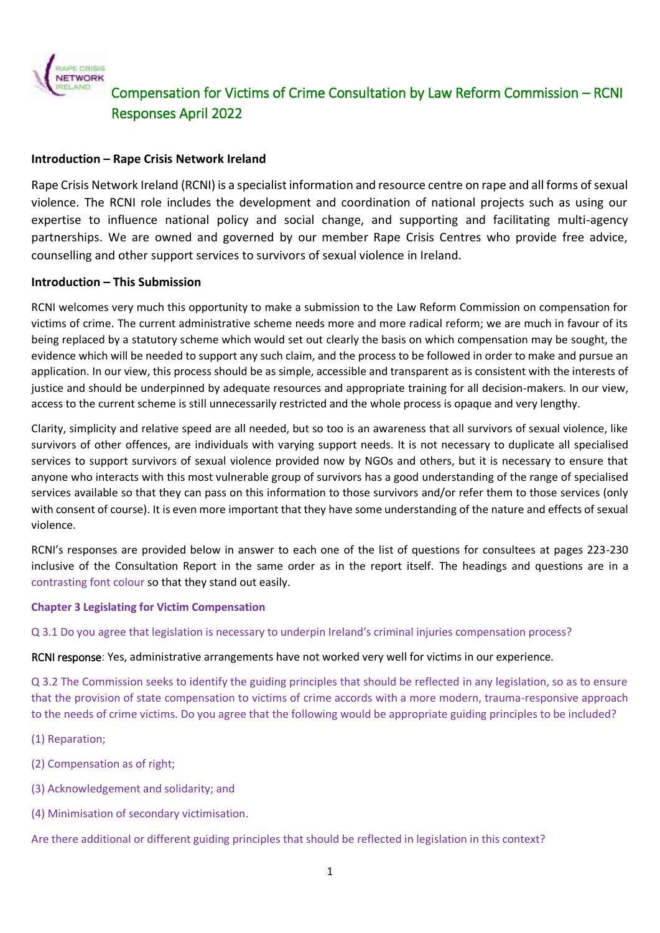

### **Introduction – Rape Crisis Network Ireland**

Rape Crisis Network Ireland (RCNI) is a specialist information and resource centre on rape and all forms of sexual violence. The RCNI role includes the development and coordination of national projects such as using our expertise to influence national policy and social change, and supporting and facilitating multi-agency partnerships. We are owned and governed by our member Rape Crisis Centres who provide free advice, counselling and other support services to survivors of sexual violence in Ireland.

### **Introduction – This Submission**

RCNI welcomes very much this opportunity to make a submission to the Law Reform Commission on compensation for victims of crime. The current administrative scheme needs more and more radical reform; we are much in favour of its being replaced by a statutory scheme which would set out clearly the basis on which compensation may be sought, the evidence which will be needed to support any such claim, and the process to be followed in order to make and pursue an application. In our view, this process should be as simple, accessible and transparent as is consistent with the interests of justice and should be underpinned by adequate resources and appropriate training for all decision-makers. In our view, access to the current scheme is still unnecessarily restricted and the whole process is opaque and very lengthy.

Clarity, simplicity and relative speed are all needed, but so too is an awareness that all survivors of sexual violence, like survivors of other offences, are individuals with varying support needs. It is not necessary to duplicate all specialised services to support survivors of sexual violence provided now by NGOs and others, but it is necessary to ensure that anyone who interacts with this most vulnerable group of survivors has a good understanding of the range of specialised services available so that they can pass on this information to those survivors and/or refer them to those services (only with consent of course). It is even more important that they have some understanding of the nature and effects of sexual violence.

RCNI's responses are provided below in answer to each one of the list of questions for consultees at pages 223-230 inclusive of the Consultation Report in the same order as in the report itself. The headings and questions are in a contrasting font colour so that they stand out easily.

### **Chapter 3 Legislating for Victim Compensation**

Q 3.1 Do you agree that legislation is necessary to underpin Ireland's criminal injuries compensation process?

RCNI response: Yes, administrative arrangements have not worked very well for victims in our experience.

Q 3.2 The Commission seeks to identify the guiding principles that should be reflected in any legislation, so as to ensure that the provision of state compensation to victims of crime accords with a more modern, trauma-responsive approach to the needs of crime victims. Do you agree that the following would be appropriate guiding principles to be included?

- (1) Reparation;
- (2) Compensation as of right;
- (3) Acknowledgement and solidarity; and
- (4) Minimisation of secondary victimisation.

Are there additional or different guiding principles that should be reflected in legislation in this context?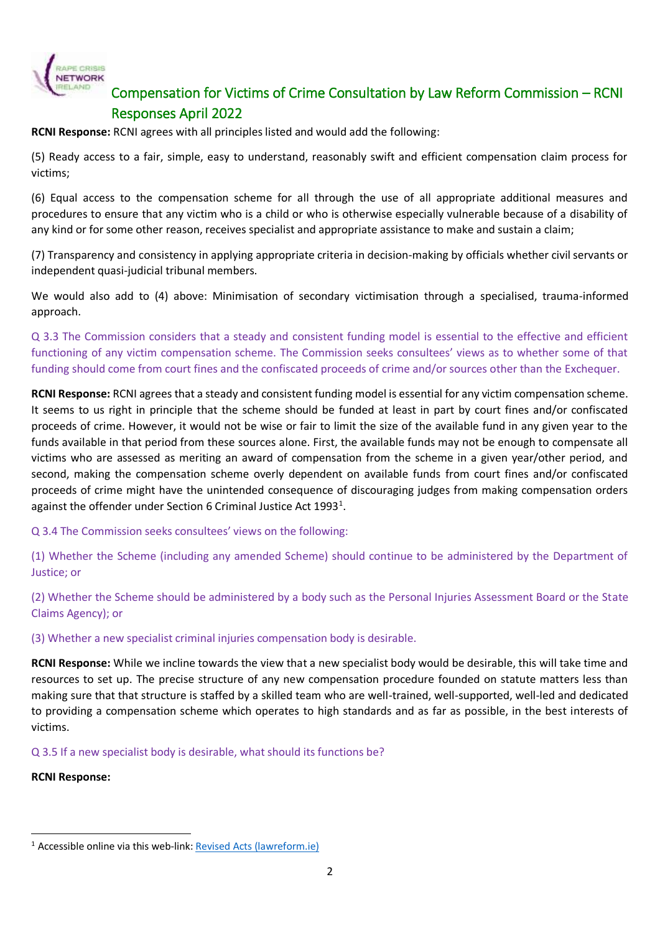

**RCNI Response:** RCNI agrees with all principles listed and would add the following:

(5) Ready access to a fair, simple, easy to understand, reasonably swift and efficient compensation claim process for victims;

(6) Equal access to the compensation scheme for all through the use of all appropriate additional measures and procedures to ensure that any victim who is a child or who is otherwise especially vulnerable because of a disability of any kind or for some other reason, receives specialist and appropriate assistance to make and sustain a claim;

(7) Transparency and consistency in applying appropriate criteria in decision-making by officials whether civil servants or independent quasi-judicial tribunal members.

We would also add to (4) above: Minimisation of secondary victimisation through a specialised, trauma-informed approach.

Q 3.3 The Commission considers that a steady and consistent funding model is essential to the effective and efficient functioning of any victim compensation scheme. The Commission seeks consultees' views as to whether some of that funding should come from court fines and the confiscated proceeds of crime and/or sources other than the Exchequer.

**RCNI Response:** RCNI agrees that a steady and consistent funding model is essential for any victim compensation scheme. It seems to us right in principle that the scheme should be funded at least in part by court fines and/or confiscated proceeds of crime. However, it would not be wise or fair to limit the size of the available fund in any given year to the funds available in that period from these sources alone. First, the available funds may not be enough to compensate all victims who are assessed as meriting an award of compensation from the scheme in a given year/other period, and second, making the compensation scheme overly dependent on available funds from court fines and/or confiscated proceeds of crime might have the unintended consequence of discouraging judges from making compensation orders against the offender under Section 6 Criminal Justice Act 1993<sup>1</sup>.

Q 3.4 The Commission seeks consultees' views on the following:

(1) Whether the Scheme (including any amended Scheme) should continue to be administered by the Department of Justice; or

(2) Whether the Scheme should be administered by a body such as the Personal Injuries Assessment Board or the State Claims Agency); or

(3) Whether a new specialist criminal injuries compensation body is desirable.

**RCNI Response:** While we incline towards the view that a new specialist body would be desirable, this will take time and resources to set up. The precise structure of any new compensation procedure founded on statute matters less than making sure that that structure is staffed by a skilled team who are well-trained, well-supported, well-led and dedicated to providing a compensation scheme which operates to high standards and as far as possible, in the best interests of victims.

Q 3.5 If a new specialist body is desirable, what should its functions be?

**RCNI Response:** 

 $\overline{a}$  $1$  Accessible online via this web-link[: Revised Acts \(lawreform.ie\)](http://revisedacts.lawreform.ie/eli/1993/act/6/section/6/revised/en/html)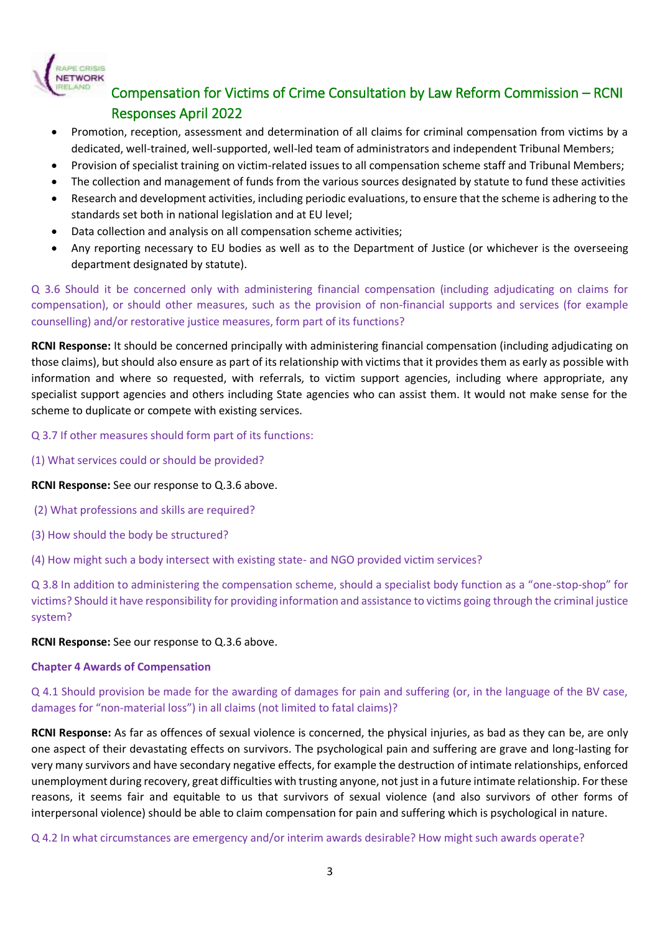

- Promotion, reception, assessment and determination of all claims for criminal compensation from victims by a dedicated, well-trained, well-supported, well-led team of administrators and independent Tribunal Members;
- Provision of specialist training on victim-related issues to all compensation scheme staff and Tribunal Members;
- The collection and management of funds from the various sources designated by statute to fund these activities
- Research and development activities, including periodic evaluations, to ensure that the scheme is adhering to the standards set both in national legislation and at EU level;
- Data collection and analysis on all compensation scheme activities;
- Any reporting necessary to EU bodies as well as to the Department of Justice (or whichever is the overseeing department designated by statute).

Q 3.6 Should it be concerned only with administering financial compensation (including adjudicating on claims for compensation), or should other measures, such as the provision of non-financial supports and services (for example counselling) and/or restorative justice measures, form part of its functions?

**RCNI Response:** It should be concerned principally with administering financial compensation (including adjudicating on those claims), but should also ensure as part of its relationship with victims that it provides them as early as possible with information and where so requested, with referrals, to victim support agencies, including where appropriate, any specialist support agencies and others including State agencies who can assist them. It would not make sense for the scheme to duplicate or compete with existing services.

Q 3.7 If other measures should form part of its functions:

(1) What services could or should be provided?

#### **RCNI Response:** See our response to Q.3.6 above.

- (2) What professions and skills are required?
- (3) How should the body be structured?

(4) How might such a body intersect with existing state- and NGO provided victim services?

Q 3.8 In addition to administering the compensation scheme, should a specialist body function as a "one-stop-shop" for victims? Should it have responsibility for providing information and assistance to victims going through the criminal justice system?

**RCNI Response:** See our response to Q.3.6 above.

#### **Chapter 4 Awards of Compensation**

Q 4.1 Should provision be made for the awarding of damages for pain and suffering (or, in the language of the BV case, damages for "non-material loss") in all claims (not limited to fatal claims)?

**RCNI Response:** As far as offences of sexual violence is concerned, the physical injuries, as bad as they can be, are only one aspect of their devastating effects on survivors. The psychological pain and suffering are grave and long-lasting for very many survivors and have secondary negative effects, for example the destruction of intimate relationships, enforced unemployment during recovery, great difficulties with trusting anyone, not just in a future intimate relationship. For these reasons, it seems fair and equitable to us that survivors of sexual violence (and also survivors of other forms of interpersonal violence) should be able to claim compensation for pain and suffering which is psychological in nature.

Q 4.2 In what circumstances are emergency and/or interim awards desirable? How might such awards operate?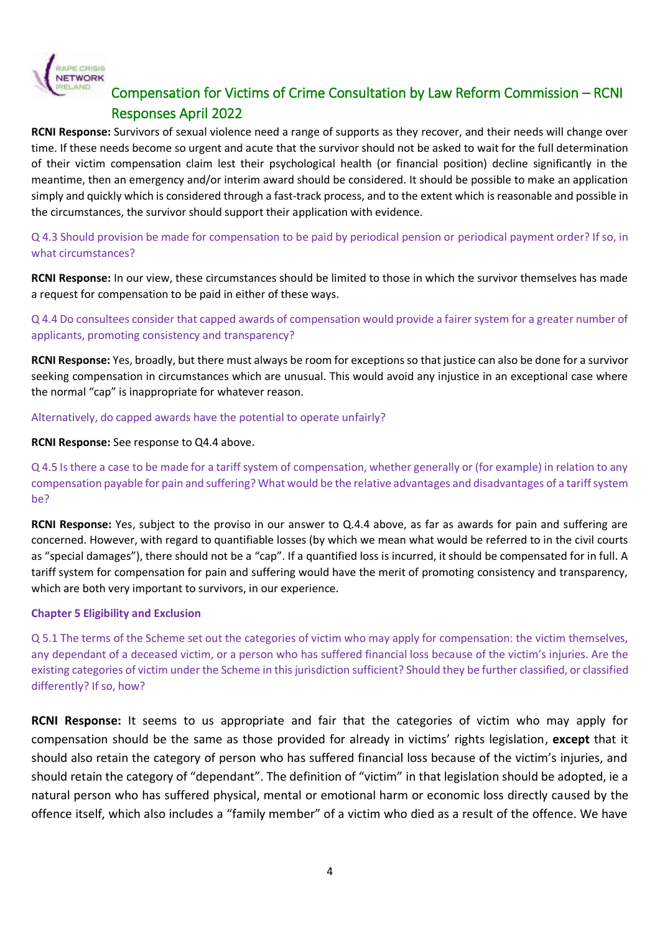

**RCNI Response:** Survivors of sexual violence need a range of supports as they recover, and their needs will change over time. If these needs become so urgent and acute that the survivor should not be asked to wait for the full determination of their victim compensation claim lest their psychological health (or financial position) decline significantly in the meantime, then an emergency and/or interim award should be considered. It should be possible to make an application simply and quickly which is considered through a fast-track process, and to the extent which is reasonable and possible in the circumstances, the survivor should support their application with evidence.

Q 4.3 Should provision be made for compensation to be paid by periodical pension or periodical payment order? If so, in what circumstances?

**RCNI Response:** In our view, these circumstances should be limited to those in which the survivor themselves has made a request for compensation to be paid in either of these ways.

Q 4.4 Do consultees consider that capped awards of compensation would provide a fairer system for a greater number of applicants, promoting consistency and transparency?

**RCNI Response:** Yes, broadly, but there must always be room for exceptions so that justice can also be done for a survivor seeking compensation in circumstances which are unusual. This would avoid any injustice in an exceptional case where the normal "cap" is inappropriate for whatever reason.

Alternatively, do capped awards have the potential to operate unfairly?

**RCNI Response:** See response to Q4.4 above**.** 

Q 4.5 Is there a case to be made for a tariff system of compensation, whether generally or (for example) in relation to any compensation payable for pain and suffering? What would be the relative advantages and disadvantages of a tariff system be?

**RCNI Response:** Yes, subject to the proviso in our answer to Q.4.4 above, as far as awards for pain and suffering are concerned. However, with regard to quantifiable losses (by which we mean what would be referred to in the civil courts as "special damages"), there should not be a "cap". If a quantified loss is incurred, it should be compensated for in full. A tariff system for compensation for pain and suffering would have the merit of promoting consistency and transparency, which are both very important to survivors, in our experience.

### **Chapter 5 Eligibility and Exclusion**

Q 5.1 The terms of the Scheme set out the categories of victim who may apply for compensation: the victim themselves, any dependant of a deceased victim, or a person who has suffered financial loss because of the victim's injuries. Are the existing categories of victim under the Scheme in this jurisdiction sufficient? Should they be further classified, or classified differently? If so, how?

**RCNI Response:** It seems to us appropriate and fair that the categories of victim who may apply for compensation should be the same as those provided for already in victims' rights legislation, **except** that it should also retain the category of person who has suffered financial loss because of the victim's injuries, and should retain the category of "dependant". The definition of "victim" in that legislation should be adopted, ie a natural person who has suffered physical, mental or emotional harm or economic loss directly caused by the offence itself, which also includes a "family member" of a victim who died as a result of the offence. We have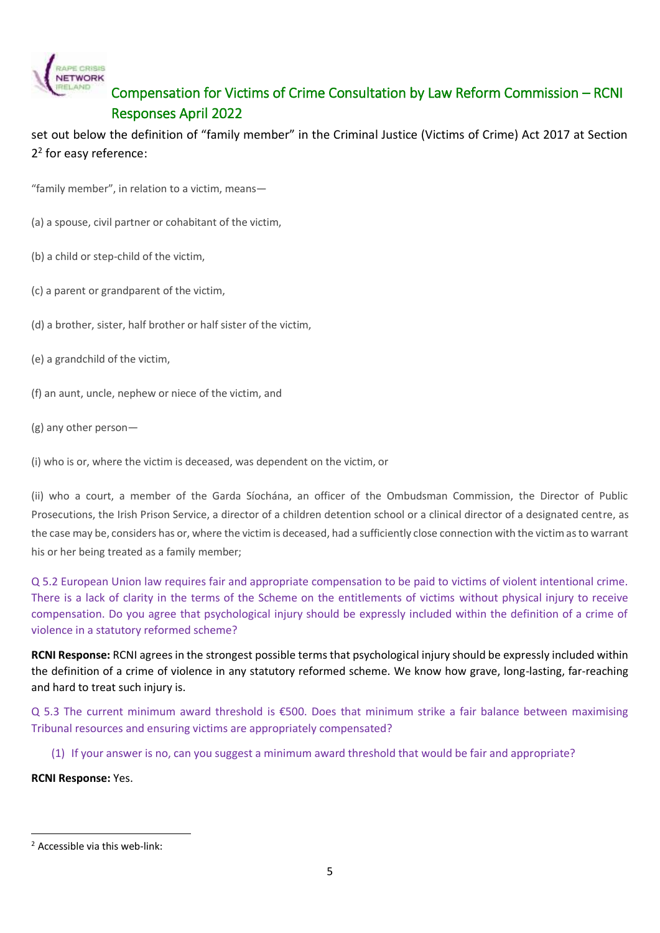

set out below the definition of "family member" in the Criminal Justice (Victims of Crime) Act 2017 at Section 2 2 for easy reference:

"family member", in relation to a victim, means—

- (a) a spouse, civil partner or cohabitant of the victim,
- (b) a child or step-child of the victim,
- (c) a parent or grandparent of the victim,
- (d) a brother, sister, half brother or half sister of the victim,
- (e) a grandchild of the victim,
- (f) an aunt, uncle, nephew or niece of the victim, and
- (g) any other person—

(i) who is or, where the victim is deceased, was dependent on the victim, or

(ii) who a court, a member of the Garda Síochána, an officer of the Ombudsman Commission, the Director of Public Prosecutions, the Irish Prison Service, a director of a children detention school or a clinical director of a designated centre, as the case may be, considers has or, where the victim is deceased, had a sufficiently close connection with the victim as to warrant his or her being treated as a family member;

Q 5.2 European Union law requires fair and appropriate compensation to be paid to victims of violent intentional crime. There is a lack of clarity in the terms of the Scheme on the entitlements of victims without physical injury to receive compensation. Do you agree that psychological injury should be expressly included within the definition of a crime of violence in a statutory reformed scheme?

**RCNI Response:** RCNI agrees in the strongest possible terms that psychological injury should be expressly included within the definition of a crime of violence in any statutory reformed scheme. We know how grave, long-lasting, far-reaching and hard to treat such injury is.

Q 5.3 The current minimum award threshold is €500. Does that minimum strike a fair balance between maximising Tribunal resources and ensuring victims are appropriately compensated?

(1) If your answer is no, can you suggest a minimum award threshold that would be fair and appropriate?

**RCNI Response:** Yes.

 $\overline{a}$ <sup>2</sup> Accessible via this web-link: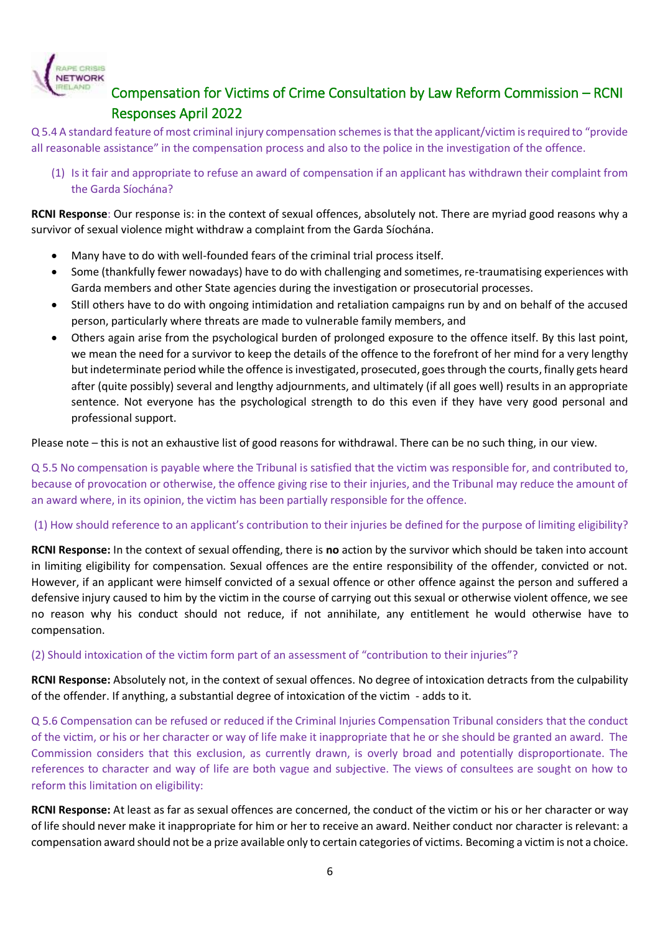

Q 5.4 A standard feature of most criminal injury compensation schemes is that the applicant/victim is required to "provide all reasonable assistance" in the compensation process and also to the police in the investigation of the offence.

(1) Is it fair and appropriate to refuse an award of compensation if an applicant has withdrawn their complaint from the Garda Síochána?

**RCNI Response**: Our response is: in the context of sexual offences, absolutely not. There are myriad good reasons why a survivor of sexual violence might withdraw a complaint from the Garda Síochána.

- Many have to do with well-founded fears of the criminal trial process itself.
- Some (thankfully fewer nowadays) have to do with challenging and sometimes, re-traumatising experiences with Garda members and other State agencies during the investigation or prosecutorial processes.
- Still others have to do with ongoing intimidation and retaliation campaigns run by and on behalf of the accused person, particularly where threats are made to vulnerable family members, and
- Others again arise from the psychological burden of prolonged exposure to the offence itself. By this last point, we mean the need for a survivor to keep the details of the offence to the forefront of her mind for a very lengthy but indeterminate period while the offence is investigated, prosecuted, goes through the courts, finally gets heard after (quite possibly) several and lengthy adjournments, and ultimately (if all goes well) results in an appropriate sentence. Not everyone has the psychological strength to do this even if they have very good personal and professional support.

Please note – this is not an exhaustive list of good reasons for withdrawal. There can be no such thing, in our view.

Q 5.5 No compensation is payable where the Tribunal is satisfied that the victim was responsible for, and contributed to, because of provocation or otherwise, the offence giving rise to their injuries, and the Tribunal may reduce the amount of an award where, in its opinion, the victim has been partially responsible for the offence.

### (1) How should reference to an applicant's contribution to their injuries be defined for the purpose of limiting eligibility?

**RCNI Response:** In the context of sexual offending, there is **no** action by the survivor which should be taken into account in limiting eligibility for compensation. Sexual offences are the entire responsibility of the offender, convicted or not. However, if an applicant were himself convicted of a sexual offence or other offence against the person and suffered a defensive injury caused to him by the victim in the course of carrying out this sexual or otherwise violent offence, we see no reason why his conduct should not reduce, if not annihilate, any entitlement he would otherwise have to compensation.

(2) Should intoxication of the victim form part of an assessment of "contribution to their injuries"?

**RCNI Response:** Absolutely not, in the context of sexual offences. No degree of intoxication detracts from the culpability of the offender. If anything, a substantial degree of intoxication of the victim - adds to it.

Q 5.6 Compensation can be refused or reduced if the Criminal Injuries Compensation Tribunal considers that the conduct of the victim, or his or her character or way of life make it inappropriate that he or she should be granted an award.  The Commission considers that this exclusion, as currently drawn, is overly broad and potentially disproportionate. The references to character and way of life are both vague and subjective. The views of consultees are sought on how to reform this limitation on eligibility:

**RCNI Response:** At least as far as sexual offences are concerned, the conduct of the victim or his or her character or way of life should never make it inappropriate for him or her to receive an award. Neither conduct nor character is relevant: a compensation award should not be a prize available only to certain categories of victims. Becoming a victim is not a choice.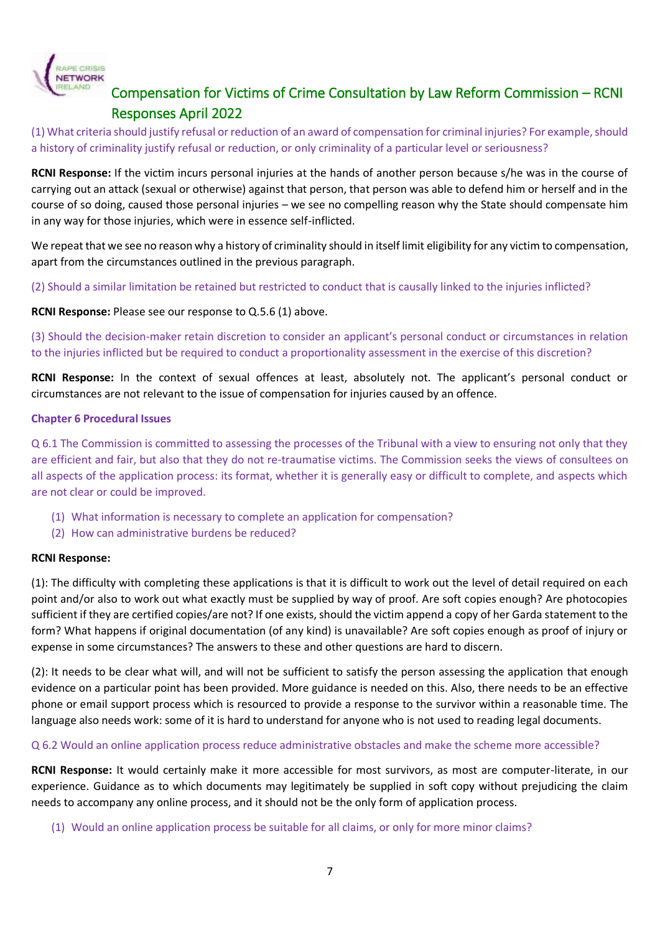

(1) What criteria should justify refusal or reduction of an award of compensation for criminal injuries? For example, should a history of criminality justify refusal or reduction, or only criminality of a particular level or seriousness?

**RCNI Response:** If the victim incurs personal injuries at the hands of another person because s/he was in the course of carrying out an attack (sexual or otherwise) against that person, that person was able to defend him or herself and in the course of so doing, caused those personal injuries – we see no compelling reason why the State should compensate him in any way for those injuries, which were in essence self-inflicted.

We repeat that we see no reason why a history of criminality should in itself limit eligibility for any victim to compensation, apart from the circumstances outlined in the previous paragraph.

(2) Should a similar limitation be retained but restricted to conduct that is causally linked to the injuries inflicted?

**RCNI Response:** Please see our response to Q.5.6 (1) above.

(3) Should the decision-maker retain discretion to consider an applicant's personal conduct or circumstances in relation to the injuries inflicted but be required to conduct a proportionality assessment in the exercise of this discretion?

**RCNI Response:** In the context of sexual offences at least, absolutely not. The applicant's personal conduct or circumstances are not relevant to the issue of compensation for injuries caused by an offence.

#### **Chapter 6 Procedural Issues**

Q 6.1 The Commission is committed to assessing the processes of the Tribunal with a view to ensuring not only that they are efficient and fair, but also that they do not re-traumatise victims. The Commission seeks the views of consultees on all aspects of the application process: its format, whether it is generally easy or difficult to complete, and aspects which are not clear or could be improved.

- (1) What information is necessary to complete an application for compensation?
- (2) How can administrative burdens be reduced?

#### **RCNI Response:**

(1): The difficulty with completing these applications is that it is difficult to work out the level of detail required on each point and/or also to work out what exactly must be supplied by way of proof. Are soft copies enough? Are photocopies sufficient if they are certified copies/are not? If one exists, should the victim append a copy of her Garda statement to the form? What happens if original documentation (of any kind) is unavailable? Are soft copies enough as proof of injury or expense in some circumstances? The answers to these and other questions are hard to discern.

(2): It needs to be clear what will, and will not be sufficient to satisfy the person assessing the application that enough evidence on a particular point has been provided. More guidance is needed on this. Also, there needs to be an effective phone or email support process which is resourced to provide a response to the survivor within a reasonable time. The language also needs work: some of it is hard to understand for anyone who is not used to reading legal documents.

#### Q 6.2 Would an online application process reduce administrative obstacles and make the scheme more accessible?

**RCNI Response:** It would certainly make it more accessible for most survivors, as most are computer-literate, in our experience. Guidance as to which documents may legitimately be supplied in soft copy without prejudicing the claim needs to accompany any online process, and it should not be the only form of application process.

(1) Would an online application process be suitable for all claims, or only for more minor claims?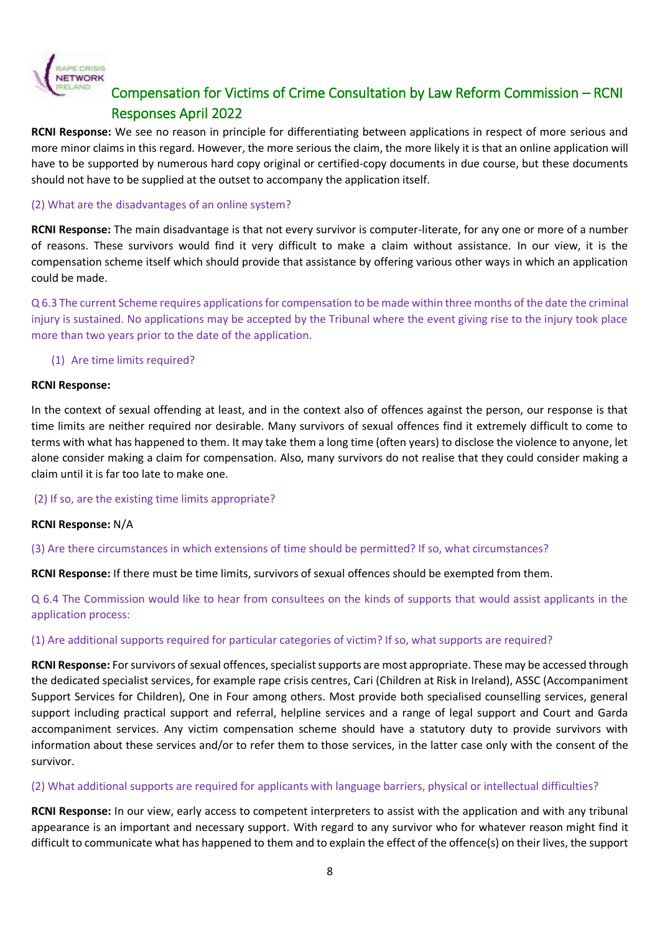

**RCNI Response:** We see no reason in principle for differentiating between applications in respect of more serious and more minor claims in this regard. However, the more serious the claim, the more likely it is that an online application will have to be supported by numerous hard copy original or certified-copy documents in due course, but these documents should not have to be supplied at the outset to accompany the application itself.

### (2) What are the disadvantages of an online system?

**RCNI Response:** The main disadvantage is that not every survivor is computer-literate, for any one or more of a number of reasons. These survivors would find it very difficult to make a claim without assistance. In our view, it is the compensation scheme itself which should provide that assistance by offering various other ways in which an application could be made.

Q 6.3 The current Scheme requires applications for compensation to be made within three months of the date the criminal injury is sustained. No applications may be accepted by the Tribunal where the event giving rise to the injury took place more than two years prior to the date of the application.

### (1) Are time limits required?

#### **RCNI Response:**

In the context of sexual offending at least, and in the context also of offences against the person, our response is that time limits are neither required nor desirable. Many survivors of sexual offences find it extremely difficult to come to terms with what has happened to them. It may take them a long time (often years) to disclose the violence to anyone, let alone consider making a claim for compensation. Also, many survivors do not realise that they could consider making a claim until it is far too late to make one.

#### (2) If so, are the existing time limits appropriate?

#### **RCNI Response:** N/A

(3) Are there circumstances in which extensions of time should be permitted? If so, what circumstances?

**RCNI Response:** If there must be time limits, survivors of sexual offences should be exempted from them.

Q 6.4 The Commission would like to hear from consultees on the kinds of supports that would assist applicants in the application process:

### (1) Are additional supports required for particular categories of victim? If so, what supports are required?

**RCNI Response:** For survivors of sexual offences, specialist supports are most appropriate. These may be accessed through the dedicated specialist services, for example rape crisis centres, Cari (Children at Risk in Ireland), ASSC (Accompaniment Support Services for Children), One in Four among others. Most provide both specialised counselling services, general support including practical support and referral, helpline services and a range of legal support and Court and Garda accompaniment services. Any victim compensation scheme should have a statutory duty to provide survivors with information about these services and/or to refer them to those services, in the latter case only with the consent of the survivor.

### (2) What additional supports are required for applicants with language barriers, physical or intellectual difficulties?

**RCNI Response:** In our view, early access to competent interpreters to assist with the application and with any tribunal appearance is an important and necessary support. With regard to any survivor who for whatever reason might find it difficult to communicate what has happened to them and to explain the effect of the offence(s) on their lives, the support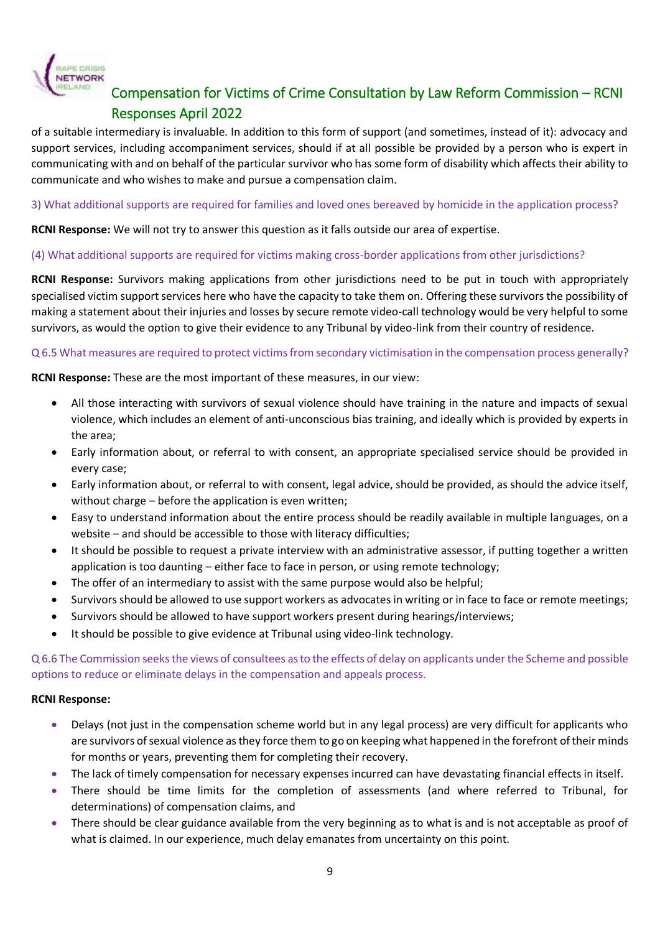

of a suitable intermediary is invaluable. In addition to this form of support (and sometimes, instead of it): advocacy and support services, including accompaniment services, should if at all possible be provided by a person who is expert in communicating with and on behalf of the particular survivor who has some form of disability which affects their ability to communicate and who wishes to make and pursue a compensation claim.

3) What additional supports are required for families and loved ones bereaved by homicide in the application process?

**RCNI Response:** We will not try to answer this question as it falls outside our area of expertise.

### (4) What additional supports are required for victims making cross-border applications from other jurisdictions?

**RCNI Response:** Survivors making applications from other jurisdictions need to be put in touch with appropriately specialised victim support services here who have the capacity to take them on. Offering these survivors the possibility of making a statement about their injuries and losses by secure remote video-call technology would be very helpful to some survivors, as would the option to give their evidence to any Tribunal by video-link from their country of residence.

### Q 6.5 What measures are required to protect victims from secondary victimisation in the compensation process generally?

**RCNI Response:** These are the most important of these measures, in our view:

- All those interacting with survivors of sexual violence should have training in the nature and impacts of sexual violence, which includes an element of anti-unconscious bias training, and ideally which is provided by experts in the area;
- Early information about, or referral to with consent, an appropriate specialised service should be provided in every case;
- Early information about, or referral to with consent, legal advice, should be provided, as should the advice itself, without charge – before the application is even written;
- Easy to understand information about the entire process should be readily available in multiple languages, on a website – and should be accessible to those with literacy difficulties;
- It should be possible to request a private interview with an administrative assessor, if putting together a written application is too daunting – either face to face in person, or using remote technology;
- The offer of an intermediary to assist with the same purpose would also be helpful;
- Survivors should be allowed to use support workers as advocates in writing or in face to face or remote meetings;
- Survivors should be allowed to have support workers present during hearings/interviews;
- It should be possible to give evidence at Tribunal using video-link technology.

Q 6.6 The Commission seeks the views of consultees as to the effects of delay on applicants under the Scheme and possible options to reduce or eliminate delays in the compensation and appeals process.

#### **RCNI Response:**

- Delays (not just in the compensation scheme world but in any legal process) are very difficult for applicants who are survivors of sexual violence as they force them to go on keeping what happened in the forefront of their minds for months or years, preventing them for completing their recovery.
- The lack of timely compensation for necessary expenses incurred can have devastating financial effects in itself.
- There should be time limits for the completion of assessments (and where referred to Tribunal, for determinations) of compensation claims, and
- There should be clear guidance available from the very beginning as to what is and is not acceptable as proof of what is claimed. In our experience, much delay emanates from uncertainty on this point.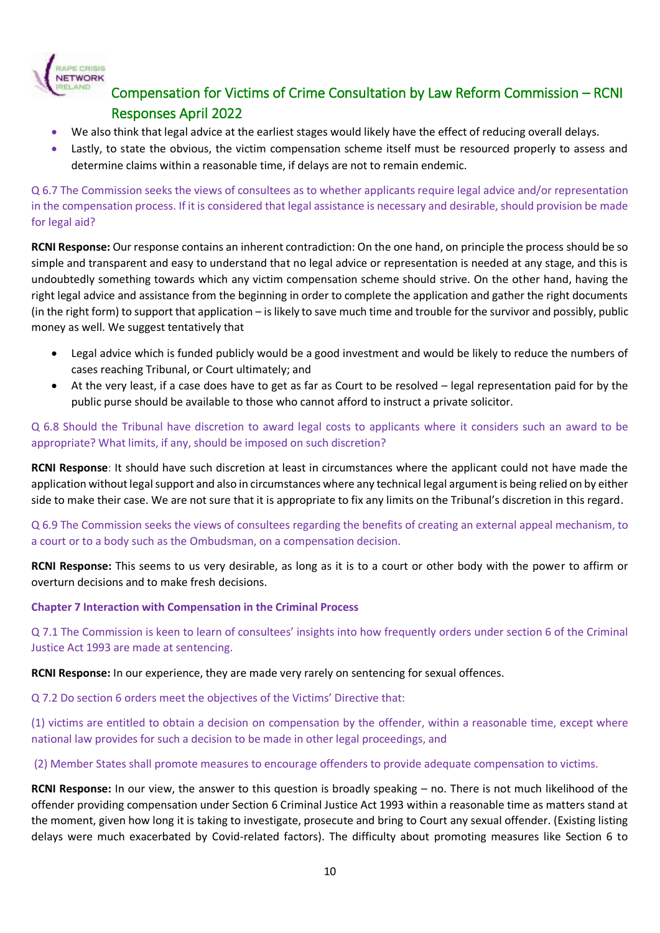

- We also think that legal advice at the earliest stages would likely have the effect of reducing overall delays.
- Lastly, to state the obvious, the victim compensation scheme itself must be resourced properly to assess and determine claims within a reasonable time, if delays are not to remain endemic.

Q 6.7 The Commission seeks the views of consultees as to whether applicants require legal advice and/or representation in the compensation process. If it is considered that legal assistance is necessary and desirable, should provision be made for legal aid?

**RCNI Response:** Our response contains an inherent contradiction: On the one hand, on principle the process should be so simple and transparent and easy to understand that no legal advice or representation is needed at any stage, and this is undoubtedly something towards which any victim compensation scheme should strive. On the other hand, having the right legal advice and assistance from the beginning in order to complete the application and gather the right documents (in the right form) to support that application – is likely to save much time and trouble for the survivor and possibly, public money as well. We suggest tentatively that

- Legal advice which is funded publicly would be a good investment and would be likely to reduce the numbers of cases reaching Tribunal, or Court ultimately; and
- At the very least, if a case does have to get as far as Court to be resolved legal representation paid for by the public purse should be available to those who cannot afford to instruct a private solicitor.

Q 6.8 Should the Tribunal have discretion to award legal costs to applicants where it considers such an award to be appropriate? What limits, if any, should be imposed on such discretion?

**RCNI Response**: It should have such discretion at least in circumstances where the applicant could not have made the application without legal support and also in circumstances where any technical legal argument is being relied on by either side to make their case. We are not sure that it is appropriate to fix any limits on the Tribunal's discretion in this regard.

Q 6.9 The Commission seeks the views of consultees regarding the benefits of creating an external appeal mechanism, to a court or to a body such as the Ombudsman, on a compensation decision.

**RCNI Response:** This seems to us very desirable, as long as it is to a court or other body with the power to affirm or overturn decisions and to make fresh decisions.

#### **Chapter 7 Interaction with Compensation in the Criminal Process**

Q 7.1 The Commission is keen to learn of consultees' insights into how frequently orders under section 6 of the Criminal Justice Act 1993 are made at sentencing.

**RCNI Response:** In our experience, they are made very rarely on sentencing for sexual offences.

Q 7.2 Do section 6 orders meet the objectives of the Victims' Directive that:

(1) victims are entitled to obtain a decision on compensation by the offender, within a reasonable time, except where national law provides for such a decision to be made in other legal proceedings, and

(2) Member States shall promote measures to encourage offenders to provide adequate compensation to victims.

**RCNI Response:** In our view, the answer to this question is broadly speaking – no. There is not much likelihood of the offender providing compensation under Section 6 Criminal Justice Act 1993 within a reasonable time as matters stand at the moment, given how long it is taking to investigate, prosecute and bring to Court any sexual offender. (Existing listing delays were much exacerbated by Covid-related factors). The difficulty about promoting measures like Section 6 to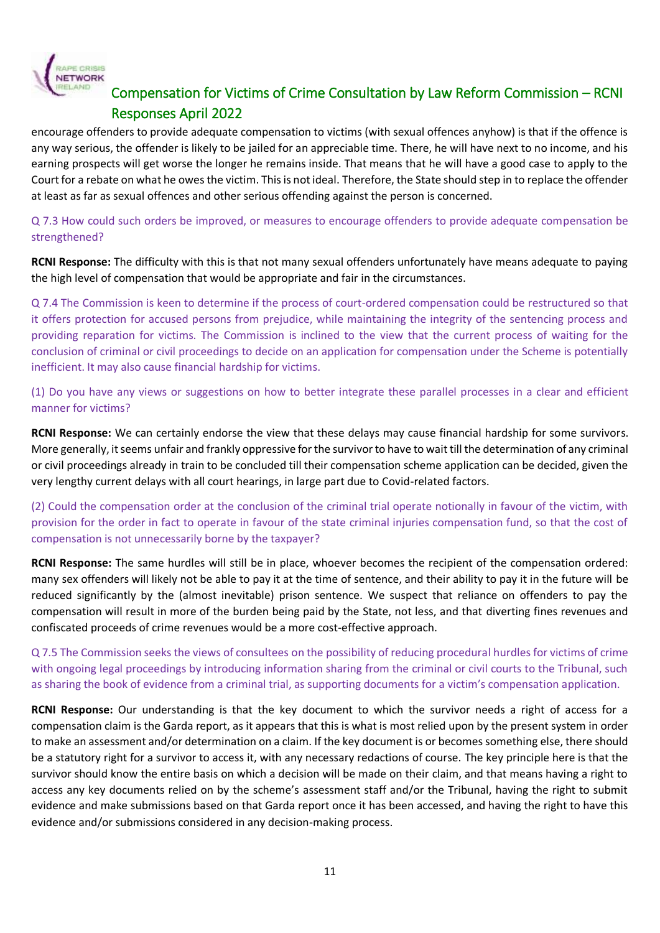

encourage offenders to provide adequate compensation to victims (with sexual offences anyhow) is that if the offence is any way serious, the offender is likely to be jailed for an appreciable time. There, he will have next to no income, and his earning prospects will get worse the longer he remains inside. That means that he will have a good case to apply to the Court for a rebate on what he owes the victim. This is not ideal. Therefore, the State should step in to replace the offender at least as far as sexual offences and other serious offending against the person is concerned.

Q 7.3 How could such orders be improved, or measures to encourage offenders to provide adequate compensation be strengthened?

**RCNI Response:** The difficulty with this is that not many sexual offenders unfortunately have means adequate to paying the high level of compensation that would be appropriate and fair in the circumstances.

Q 7.4 The Commission is keen to determine if the process of court-ordered compensation could be restructured so that it offers protection for accused persons from prejudice, while maintaining the integrity of the sentencing process and providing reparation for victims. The Commission is inclined to the view that the current process of waiting for the conclusion of criminal or civil proceedings to decide on an application for compensation under the Scheme is potentially inefficient. It may also cause financial hardship for victims.

(1) Do you have any views or suggestions on how to better integrate these parallel processes in a clear and efficient manner for victims?

**RCNI Response:** We can certainly endorse the view that these delays may cause financial hardship for some survivors. More generally, it seems unfair and frankly oppressive for the survivor to have to wait till the determination of any criminal or civil proceedings already in train to be concluded till their compensation scheme application can be decided, given the very lengthy current delays with all court hearings, in large part due to Covid-related factors.

(2) Could the compensation order at the conclusion of the criminal trial operate notionally in favour of the victim, with provision for the order in fact to operate in favour of the state criminal injuries compensation fund, so that the cost of compensation is not unnecessarily borne by the taxpayer?

**RCNI Response:** The same hurdles will still be in place, whoever becomes the recipient of the compensation ordered: many sex offenders will likely not be able to pay it at the time of sentence, and their ability to pay it in the future will be reduced significantly by the (almost inevitable) prison sentence. We suspect that reliance on offenders to pay the compensation will result in more of the burden being paid by the State, not less, and that diverting fines revenues and confiscated proceeds of crime revenues would be a more cost-effective approach.

Q 7.5 The Commission seeks the views of consultees on the possibility of reducing procedural hurdles for victims of crime with ongoing legal proceedings by introducing information sharing from the criminal or civil courts to the Tribunal, such as sharing the book of evidence from a criminal trial, as supporting documents for a victim's compensation application.

**RCNI Response:** Our understanding is that the key document to which the survivor needs a right of access for a compensation claim is the Garda report, as it appears that this is what is most relied upon by the present system in order to make an assessment and/or determination on a claim. If the key document is or becomes something else, there should be a statutory right for a survivor to access it, with any necessary redactions of course. The key principle here is that the survivor should know the entire basis on which a decision will be made on their claim, and that means having a right to access any key documents relied on by the scheme's assessment staff and/or the Tribunal, having the right to submit evidence and make submissions based on that Garda report once it has been accessed, and having the right to have this evidence and/or submissions considered in any decision-making process.